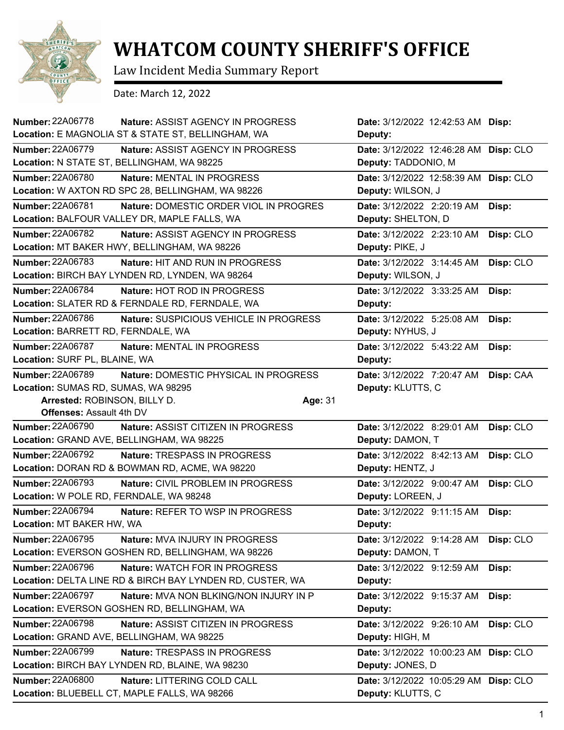

## **WHATCOM COUNTY SHERIFF'S OFFICE**

Law Incident Media Summary Report

Date: March 12, 2022

| <b>Number: 22A06778</b>                 | <b>Nature: ASSIST AGENCY IN PROGRESS</b>                  | Date: 3/12/2022 12:42:53 AM Disp:     |           |
|-----------------------------------------|-----------------------------------------------------------|---------------------------------------|-----------|
|                                         | Location: E MAGNOLIA ST & STATE ST, BELLINGHAM, WA        | Deputy:                               |           |
| <b>Number: 22A06779</b>                 | Nature: ASSIST AGENCY IN PROGRESS                         | Date: 3/12/2022 12:46:28 AM Disp: CLO |           |
|                                         | Location: N STATE ST, BELLINGHAM, WA 98225                | Deputy: TADDONIO, M                   |           |
| <b>Number: 22A06780</b>                 | Nature: MENTAL IN PROGRESS                                | Date: 3/12/2022 12:58:39 AM           | Disp: CLO |
|                                         | Location: W AXTON RD SPC 28, BELLINGHAM, WA 98226         | Deputy: WILSON, J                     |           |
| Number: 22A06781                        | Nature: DOMESTIC ORDER VIOL IN PROGRES                    | Date: 3/12/2022 2:20:19 AM            | Disp:     |
|                                         | Location: BALFOUR VALLEY DR, MAPLE FALLS, WA              | Deputy: SHELTON, D                    |           |
| <b>Number: 22A06782</b>                 | Nature: ASSIST AGENCY IN PROGRESS                         | Date: 3/12/2022 2:23:10 AM            | Disp: CLO |
|                                         | Location: MT BAKER HWY, BELLINGHAM, WA 98226              | Deputy: PIKE, J                       |           |
| <b>Number: 22A06783</b>                 | <b>Nature: HIT AND RUN IN PROGRESS</b>                    | Date: 3/12/2022 3:14:45 AM            | Disp: CLO |
|                                         | Location: BIRCH BAY LYNDEN RD, LYNDEN, WA 98264           | Deputy: WILSON, J                     |           |
| <b>Number: 22A06784</b>                 | Nature: HOT ROD IN PROGRESS                               | Date: 3/12/2022 3:33:25 AM            | Disp:     |
|                                         | Location: SLATER RD & FERNDALE RD, FERNDALE, WA           | Deputy:                               |           |
| <b>Number: 22A06786</b>                 | Nature: SUSPICIOUS VEHICLE IN PROGRESS                    | Date: 3/12/2022 5:25:08 AM            | Disp:     |
| Location: BARRETT RD, FERNDALE, WA      |                                                           | Deputy: NYHUS, J                      |           |
| Number: 22A06787                        | Nature: MENTAL IN PROGRESS                                | Date: 3/12/2022 5:43:22 AM            | Disp:     |
| Location: SURF PL, BLAINE, WA           |                                                           | Deputy:                               |           |
| <b>Number: 22A06789</b>                 | Nature: DOMESTIC PHYSICAL IN PROGRESS                     | Date: 3/12/2022 7:20:47 AM            | Disp: CAA |
| Location: SUMAS RD, SUMAS, WA 98295     |                                                           | Deputy: KLUTTS, C                     |           |
| Arrested: ROBINSON, BILLY D.            |                                                           | Age: 31                               |           |
| <b>Offenses: Assault 4th DV</b>         |                                                           |                                       |           |
| <b>Number: 22A06790</b>                 | Nature: ASSIST CITIZEN IN PROGRESS                        | Date: 3/12/2022 8:29:01 AM            | Disp: CLO |
|                                         | Location: GRAND AVE, BELLINGHAM, WA 98225                 | Deputy: DAMON, T                      |           |
| <b>Number: 22A06792</b>                 | <b>Nature: TRESPASS IN PROGRESS</b>                       | Date: 3/12/2022 8:42:13 AM            | Disp: CLO |
|                                         | Location: DORAN RD & BOWMAN RD, ACME, WA 98220            | Deputy: HENTZ, J                      |           |
| <b>Number: 22A06793</b>                 | Nature: CIVIL PROBLEM IN PROGRESS                         | Date: 3/12/2022 9:00:47 AM            | Disp: CLO |
| Location: W POLE RD, FERNDALE, WA 98248 |                                                           | Deputy: LOREEN, J                     |           |
| <b>Number: 22A06794</b>                 | Nature: REFER TO WSP IN PROGRESS                          | Date: 3/12/2022 9:11:15 AM            | Disp:     |
| Location: MT BAKER HW, WA               |                                                           | Deputy:                               |           |
| Number: 22A06795                        | Nature: MVA INJURY IN PROGRESS                            | Date: 3/12/2022 9:14:28 AM            | Disp: CLO |
|                                         | Location: EVERSON GOSHEN RD, BELLINGHAM, WA 98226         | Deputy: DAMON, T                      |           |
| Number: 22A06796                        | Nature: WATCH FOR IN PROGRESS                             | Date: 3/12/2022 9:12:59 AM            | Disp:     |
|                                         | Location: DELTA LINE RD & BIRCH BAY LYNDEN RD, CUSTER, WA | Deputy:                               |           |
| Number: 22A06797                        | Nature: MVA NON BLKING/NON INJURY IN P                    | Date: 3/12/2022 9:15:37 AM            | Disp:     |
|                                         | Location: EVERSON GOSHEN RD, BELLINGHAM, WA               | Deputy:                               |           |
| Number: 22A06798                        | Nature: ASSIST CITIZEN IN PROGRESS                        | Date: 3/12/2022 9:26:10 AM            | Disp: CLO |
|                                         | Location: GRAND AVE, BELLINGHAM, WA 98225                 | Deputy: HIGH, M                       |           |
| Number: 22A06799                        | Nature: TRESPASS IN PROGRESS                              | Date: 3/12/2022 10:00:23 AM Disp: CLO |           |
|                                         | Location: BIRCH BAY LYNDEN RD, BLAINE, WA 98230           | Deputy: JONES, D                      |           |
| Number: 22A06800                        | Nature: LITTERING COLD CALL                               | Date: 3/12/2022 10:05:29 AM Disp: CLO |           |
|                                         | Location: BLUEBELL CT, MAPLE FALLS, WA 98266              | Deputy: KLUTTS, C                     |           |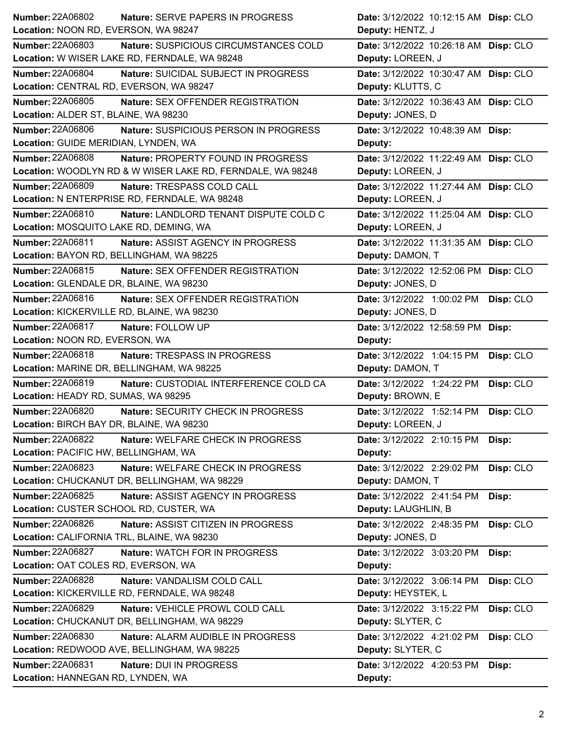| <b>Number: 22A06802</b><br><b>Nature: SERVE PAPERS IN PROGRESS</b> | Date: 3/12/2022 10:12:15 AM Disp: CLO   |
|--------------------------------------------------------------------|-----------------------------------------|
| Location: NOON RD, EVERSON, WA 98247                               | Deputy: HENTZ, J                        |
| <b>Number: 22A06803</b><br>Nature: SUSPICIOUS CIRCUMSTANCES COLD   | Date: 3/12/2022 10:26:18 AM Disp: CLO   |
| Location: W WISER LAKE RD, FERNDALE, WA 98248                      | Deputy: LOREEN, J                       |
| Number: 22A06804<br>Nature: SUICIDAL SUBJECT IN PROGRESS           | Date: 3/12/2022 10:30:47 AM Disp: CLO   |
| Location: CENTRAL RD, EVERSON, WA 98247                            | Deputy: KLUTTS, C                       |
| <b>Number: 22A06805</b><br>Nature: SEX OFFENDER REGISTRATION       | Date: 3/12/2022 10:36:43 AM Disp: CLO   |
| Location: ALDER ST, BLAINE, WA 98230                               | Deputy: JONES, D                        |
| <b>Number: 22A06806</b><br>Nature: SUSPICIOUS PERSON IN PROGRESS   | Date: 3/12/2022 10:48:39 AM Disp:       |
| Location: GUIDE MERIDIAN, LYNDEN, WA                               | Deputy:                                 |
| Number: 22A06808<br>Nature: PROPERTY FOUND IN PROGRESS             | Date: 3/12/2022 11:22:49 AM Disp: CLO   |
| Location: WOODLYN RD & W WISER LAKE RD, FERNDALE, WA 98248         | Deputy: LOREEN, J                       |
| <b>Number: 22A06809</b><br>Nature: TRESPASS COLD CALL              | Date: 3/12/2022 11:27:44 AM Disp: CLO   |
| Location: N ENTERPRISE RD, FERNDALE, WA 98248                      | Deputy: LOREEN, J                       |
| Number: 22A06810<br>Nature: LANDLORD TENANT DISPUTE COLD C         | Date: 3/12/2022 11:25:04 AM Disp: CLO   |
| Location: MOSQUITO LAKE RD, DEMING, WA                             | Deputy: LOREEN, J                       |
| <b>Number: 22A06811</b><br>Nature: ASSIST AGENCY IN PROGRESS       | Date: 3/12/2022 11:31:35 AM Disp: CLO   |
| Location: BAYON RD, BELLINGHAM, WA 98225                           | Deputy: DAMON, T                        |
| Number: 22A06815<br><b>Nature: SEX OFFENDER REGISTRATION</b>       | Date: 3/12/2022 12:52:06 PM Disp: CLO   |
| Location: GLENDALE DR, BLAINE, WA 98230                            | Deputy: JONES, D                        |
| Number: 22A06816<br>Nature: SEX OFFENDER REGISTRATION              | Date: 3/12/2022 1:00:02 PM<br>Disp: CLO |
| Location: KICKERVILLE RD, BLAINE, WA 98230                         | Deputy: JONES, D                        |
| <b>Number: 22A06817</b><br>Nature: FOLLOW UP                       | Date: 3/12/2022 12:58:59 PM Disp:       |
| Location: NOON RD, EVERSON, WA                                     | Deputy:                                 |
| <b>Number: 22A06818</b><br><b>Nature: TRESPASS IN PROGRESS</b>     | Disp: CLO<br>Date: 3/12/2022 1:04:15 PM |
| Location: MARINE DR, BELLINGHAM, WA 98225                          | Deputy: DAMON, T                        |
| <b>Number: 22A06819</b><br>Nature: CUSTODIAL INTERFERENCE COLD CA  | Date: 3/12/2022 1:24:22 PM<br>Disp: CLO |
| Location: HEADY RD, SUMAS, WA 98295                                | Deputy: BROWN, E                        |
| <b>Number: 22A06820</b><br>Nature: SECURITY CHECK IN PROGRESS      | Date: 3/12/2022 1:52:14 PM<br>Disp: CLO |
| Location: BIRCH BAY DR, BLAINE, WA 98230                           | Deputy: LOREEN, J                       |
| <b>Number: 22A06822</b><br>Nature: WELFARE CHECK IN PROGRESS       | Date: 3/12/2022 2:10:15 PM<br>Disp:     |
| Location: PACIFIC HW, BELLINGHAM, WA                               | Deputy:                                 |
| Number: 22A06823<br>Nature: WELFARE CHECK IN PROGRESS              | Date: 3/12/2022 2:29:02 PM<br>Disp: CLO |
| Location: CHUCKANUT DR, BELLINGHAM, WA 98229                       | Deputy: DAMON, T                        |
| Number: 22A06825<br>Nature: ASSIST AGENCY IN PROGRESS              | Date: 3/12/2022 2:41:54 PM<br>Disp:     |
| Location: CUSTER SCHOOL RD, CUSTER, WA                             | Deputy: LAUGHLIN, B                     |
| <b>Number: 22A06826</b><br>Nature: ASSIST CITIZEN IN PROGRESS      | Date: 3/12/2022 2:48:35 PM<br>Disp: CLO |
| Location: CALIFORNIA TRL, BLAINE, WA 98230                         | Deputy: JONES, D                        |
| Number: 22A06827<br>Nature: WATCH FOR IN PROGRESS                  | Date: 3/12/2022 3:03:20 PM<br>Disp:     |
| Location: OAT COLES RD, EVERSON, WA                                | Deputy:                                 |
| <b>Number: 22A06828</b><br>Nature: VANDALISM COLD CALL             | Disp: CLO<br>Date: 3/12/2022 3:06:14 PM |
| Location: KICKERVILLE RD, FERNDALE, WA 98248                       | Deputy: HEYSTEK, L                      |
| Number: 22A06829<br>Nature: VEHICLE PROWL COLD CALL                | Disp: CLO<br>Date: 3/12/2022 3:15:22 PM |
| Location: CHUCKANUT DR, BELLINGHAM, WA 98229                       | Deputy: SLYTER, C                       |
| <b>Number: 22A06830</b><br>Nature: ALARM AUDIBLE IN PROGRESS       | Disp: CLO<br>Date: 3/12/2022 4:21:02 PM |
| Location: REDWOOD AVE, BELLINGHAM, WA 98225                        | Deputy: SLYTER, C                       |
| <b>Number: 22A06831</b><br>Nature: DUI IN PROGRESS                 | Date: 3/12/2022 4:20:53 PM<br>Disp:     |
| Location: HANNEGAN RD, LYNDEN, WA                                  | Deputy:                                 |